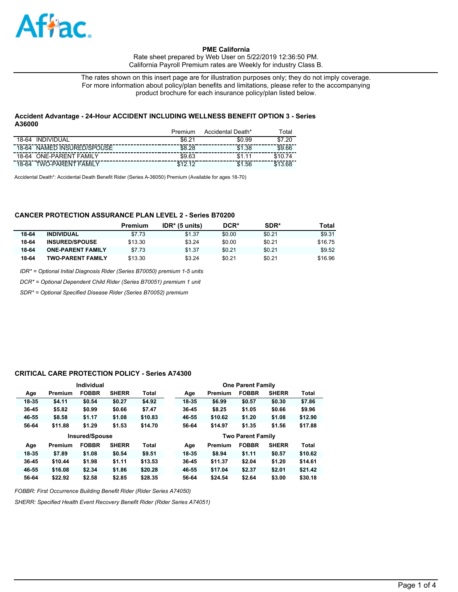

Rate sheet prepared by Web User on 5/22/2019 12:36:50 PM. California Payroll Premium rates are Weekly for industry Class B.

The rates shown on this insert page are for illustration purposes only; they do not imply coverage. For more information about policy/plan benefits and limitations, please refer to the accompanying product brochure for each insurance policy/plan listed below.

## **Accident Advantage - 24-Hour ACCIDENT INCLUDING WELLNESS BENEFIT OPTION 3 - Series A36000**

|                                   | Premium     | Accidental Death* | ™otai   |
|-----------------------------------|-------------|-------------------|---------|
| INDIVIDUAL<br>18-64               | \$6.21      | \$0.99            | \$7.20  |
| NAMED INSURED/SPOUSE<br>18-64     | \$8.28      | \$1.38            | \$9.66  |
| 18-64 ONE-PARENT FAMILY           | \$9.63      | \$1.11            | \$1074  |
| <b>TWO-PARENT FAMILY</b><br>18-64 | \$12.<br>10 | \$1.56            | \$13.68 |

Accidental Death\*: Accidental Death Benefit Rider (Series A-36050) Premium (Available for ages 18-70)

# **CANCER PROTECTION ASSURANCE PLAN LEVEL 2 - Series B70200**

|       |                          | Premium | $IDR*$ (5 units) | DCR*   | SDR*   | Total   |
|-------|--------------------------|---------|------------------|--------|--------|---------|
| 18-64 | <b>INDIVIDUAL</b>        | \$7.73  | \$1.37           | \$0.00 | \$0.21 | \$9.31  |
| 18-64 | <b>INSURED/SPOUSE</b>    | \$13.30 | \$3.24           | \$0.00 | \$0.21 | \$16.75 |
| 18-64 | <b>ONE-PARENT FAMILY</b> | \$7.73  | \$1.37           | \$0.21 | \$0.21 | \$9.52  |
| 18-64 | <b>TWO-PARENT FAMILY</b> | \$13.30 | \$3.24           | \$0.21 | \$0.21 | \$16.96 |

*IDR\* = Optional Initial Diagnosis Rider (Series B70050) premium 1-5 units*

*DCR\* = Optional Dependent Child Rider (Series B70051) premium 1 unit*

*SDR\* = Optional Specified Disease Rider (Series B70052) premium*

#### **CRITICAL CARE PROTECTION POLICY - Series A74300**

|           |         | Individual            |              |         |       |         | <b>One Parent Family</b> |              |              |
|-----------|---------|-----------------------|--------------|---------|-------|---------|--------------------------|--------------|--------------|
| Age       | Premium | <b>FOBBR</b>          | <b>SHERR</b> | Total   | Age   | Premium | <b>FOBBR</b>             | <b>SHERR</b> | <b>Total</b> |
| 18-35     | \$4.11  | \$0.54                | \$0.27       | \$4.92  | 18-35 | \$6.99  | \$0.57                   | \$0.30       | \$7.86       |
| $36 - 45$ | \$5.82  | \$0.99                | \$0.66       | \$7.47  | 36-45 | \$8.25  | \$1.05                   | \$0.66       | \$9.96       |
| 46-55     | \$8.58  | \$1.17                | \$1.08       | \$10.83 | 46-55 | \$10.62 | \$1.20                   | \$1.08       | \$12.90      |
| 56-64     | \$11.88 | \$1.29                | \$1.53       | \$14.70 | 56-64 | \$14.97 | \$1.35                   | \$1.56       | \$17.88      |
|           |         |                       |              |         |       |         |                          |              |              |
|           |         | <b>Insured/Spouse</b> |              |         |       |         | <b>Two Parent Family</b> |              |              |
| Age       | Premium | <b>FOBBR</b>          | <b>SHERR</b> | Total   | Age   | Premium | <b>FOBBR</b>             | <b>SHERR</b> | <b>Total</b> |
| 18-35     | \$7.89  | \$1.08                | \$0.54       | \$9.51  | 18-35 | \$8.94  | \$1.11                   | \$0.57       | \$10.62      |
| 36-45     | \$10.44 | \$1.98                | \$1.11       | \$13.53 | 36-45 | \$11.37 | \$2.04                   | \$1,20       | \$14.61      |
| 46-55     | \$16.08 | \$2.34                | \$1.86       | \$20.28 | 46-55 | \$17.04 | \$2.37                   | \$2.01       | \$21.42      |

*FOBBR: First Occurrence Building Benefit Rider (Rider Series A74050)*

*SHERR: Specified Health Event Recovery Benefit Rider (Rider Series A74051)*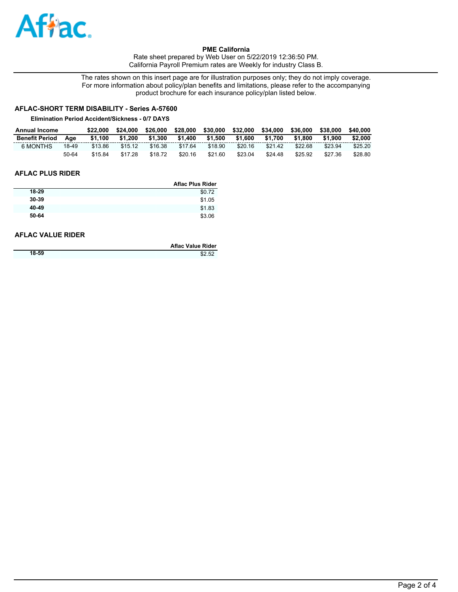

Rate sheet prepared by Web User on 5/22/2019 12:36:50 PM. California Payroll Premium rates are Weekly for industry Class B.

The rates shown on this insert page are for illustration purposes only; they do not imply coverage. For more information about policy/plan benefits and limitations, please refer to the accompanying product brochure for each insurance policy/plan listed below.

# **AFLAC-SHORT TERM DISABILITY - Series A-57600**

#### **Elimination Period Accident/Sickness - 0/7 DAYS**

| Annual Income         |       | \$22.000 | \$24,000 | \$26,000 | \$28,000 | \$30,000 | \$32,000 | \$34,000 | \$36,000 | \$38,000 | \$40,000 |
|-----------------------|-------|----------|----------|----------|----------|----------|----------|----------|----------|----------|----------|
| <b>Benefit Period</b> | Aae   | \$1.100  | \$1.200  | \$1.300  | \$1,400  | \$1.500  | \$1.600  | \$1.700  | \$1.800  | \$1.900  | \$2,000  |
| 6 MONTHS              | 18-49 | \$13.86  | \$15.12  | \$16.38  | \$17.64  | \$18.90  | \$20.16  | \$21.42  | \$22.68  | \$23.94  | \$25.20  |
|                       | 50-64 | \$15.84  | \$17.28  | \$18.72  | \$20.16  | \$21.60  | \$23.04  | \$24.48  | \$25.92  | \$27.36  | \$28.80  |

# **AFLAC PLUS RIDER**

|       | <b>Aflac Plus Rider</b> |
|-------|-------------------------|
| 18-29 | \$0.72                  |
| 30-39 | \$1.05                  |
| 40-49 | \$1.83                  |
| 50-64 | \$3.06                  |

## **AFLAC VALUE RIDER**

|       | Aflac Value Rider |
|-------|-------------------|
| 18-59 | \$2.52            |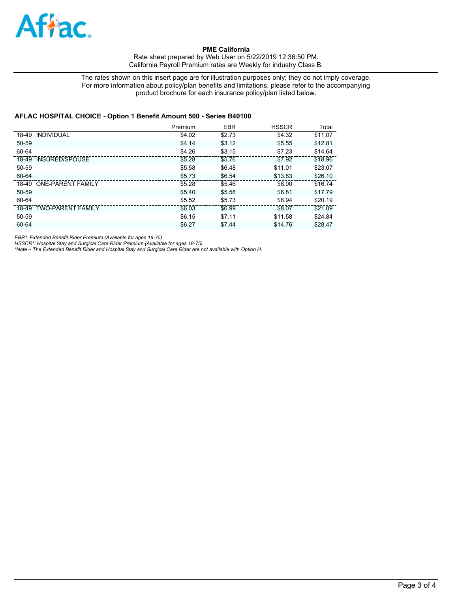

Rate sheet prepared by Web User on 5/22/2019 12:36:50 PM. California Payroll Premium rates are Weekly for industry Class B.

The rates shown on this insert page are for illustration purposes only; they do not imply coverage. For more information about policy/plan benefits and limitations, please refer to the accompanying product brochure for each insurance policy/plan listed below.

## **AFLAC HOSPITAL CHOICE - Option 1 Benefit Amount 500 - Series B40100**

|                         | Premium | <b>EBR</b> | <b>HSSCR</b> | Total   |
|-------------------------|---------|------------|--------------|---------|
| 18-49 INDIVIDUAL        | \$4.02  | \$2.73     | \$4.32       | \$11.07 |
| 50-59                   | \$4.14  | \$3.12     | \$5.55       | \$12.81 |
| 60-64                   | \$4.26  | \$3.15     | \$7.23       | \$14.64 |
| 18-49 INSURED/SPOUSE    | \$5.28  | \$5.76     | \$7.92       | \$18.96 |
| 50-59                   | \$5.58  | \$6.48     | \$11.01      | \$23.07 |
| 60-64                   | \$5.73  | \$6.54     | \$13.83      | \$26.10 |
| 18-49 ONE-PARENT FAMILY | \$5.28  | \$5.46     | \$6.00       | \$16.74 |
| 50-59                   | \$5.40  | \$5.58     | \$6.81       | \$17.79 |
| 60-64                   | \$5.52  | \$5.73     | \$8.94       | \$20.19 |
| 18-49 TWO-PARENT FAMILY | \$6.03  | \$6.99     | \$8.07       | \$21.09 |
| 50-59                   | \$6.15  | \$7.11     | \$11.58      | \$24.84 |
| 60-64                   | \$6.27  | \$7.44     | \$14.76      | \$28.47 |

*EBR\*: Extended Benefit Rider Premium (Available for ages 18-75)*

*HSSCR\*: Hospital Stay and Surgical Care Rider Premium (Available for ages 18-75) \*Note – The Extended Benefit Rider and Hospital Stay and Surgical Care Rider are not available with Option H.*